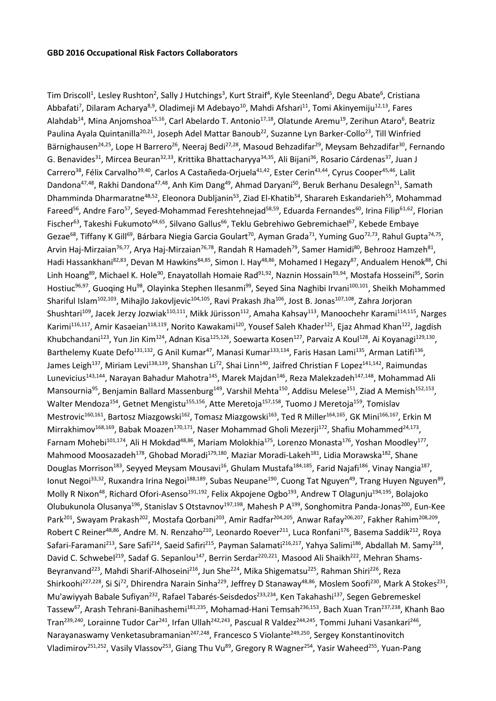Tim Driscoll<sup>1</sup>, Lesley Rushton<sup>2</sup>, Sally J Hutchings<sup>3</sup>, Kurt Straif<sup>4</sup>, Kyle Steenland<sup>5</sup>, Degu Abate<sup>6</sup>, Cristiana Abbafati<sup>7</sup>, Dilaram Acharya<sup>8,9</sup>, Oladimeji M Adebayo<sup>10</sup>, Mahdi Afshari<sup>11</sup>, Tomi Akinyemiju<sup>12,13</sup>, Fares Alahdab<sup>14</sup>, Mina Anjomshoa<sup>15,16</sup>, Carl Abelardo T. Antonio<sup>17,18</sup>, Olatunde Aremu<sup>19</sup>, Zerihun Ataro<sup>6</sup>, Beatriz Paulina Ayala Quintanilla<sup>20,21</sup>, Joseph Adel Mattar Banoub<sup>22</sup>, Suzanne Lyn Barker-Collo<sup>23</sup>, Till Winfried Bärnighausen<sup>24,25</sup>, Lope H Barrero<sup>26</sup>, Neeraj Bedi<sup>27,28</sup>, Masoud Behzadifar<sup>29</sup>, Meysam Behzadifar<sup>30</sup>, Fernando G. Benavides<sup>31</sup>, Mircea Beuran<sup>32,33</sup>, Krittika Bhattacharyya<sup>34,35</sup>, Ali Bijani<sup>36</sup>, Rosario Cárdenas<sup>37</sup>, Juan J Carrero<sup>38</sup>, Félix Carvalho<sup>39,40</sup>, Carlos A Castañeda-Orjuela<sup>41,42</sup>, Ester Cerin<sup>43,44</sup>, Cyrus Cooper<sup>45,46</sup>, Lalit Dandona<sup>47,48</sup>, Rakhi Dandona<sup>47,48</sup>, Anh Kim Dang<sup>49</sup>, Ahmad Daryani<sup>50</sup>, Beruk Berhanu Desalegn<sup>51</sup>, Samath Dhamminda Dharmaratne<sup>48,52</sup>, Eleonora Dubljanin<sup>53</sup>, Ziad El-Khatib<sup>54</sup>, Sharareh Eskandarieh<sup>55</sup>, Mohammad Fareed<sup>56</sup>, Andre Faro<sup>57</sup>, Seyed-Mohammad Fereshtehnejad<sup>58,59</sup>, Eduarda Fernandes<sup>60</sup>, Irina Filip<sup>61,62</sup>, Florian Fischer<sup>63</sup>, Takeshi Fukumoto<sup>64,65</sup>, Silvano Gallus<sup>66</sup>, Teklu Gebrehiwo Gebremichael<sup>67</sup>, Kebede Embaye Gezae<sup>68</sup>, Tiffany K Gill<sup>69</sup>, Bárbara Niegia Garcia Goulart<sup>70</sup>, Ayman Grada<sup>71</sup>, Yuming Guo<sup>72,73</sup>, Rahul Gupta<sup>74,75</sup>, Arvin Haj-Mirzaian<sup>76,77</sup>, Arya Haj-Mirzaian<sup>76,78</sup>, Randah R Hamadeh<sup>79</sup>, Samer Hamidi<sup>80</sup>, Behrooz Hamzeh<sup>81</sup>, Hadi Hassankhani<sup>82,83</sup>, Devan M Hawkins<sup>84,85</sup>, Simon I. Hay<sup>48,86</sup>, Mohamed I Hegazy<sup>87</sup>, Andualem Henok<sup>88</sup>, Chi Linh Hoang<sup>89</sup>, Michael K. Hole<sup>90</sup>, Enayatollah Homaie Rad<sup>91,92</sup>, Naznin Hossain<sup>93,94</sup>, Mostafa Hosseini<sup>95</sup>, Sorin Hostiuc<sup>96,97</sup>, Guoqing Hu<sup>98</sup>, Olayinka Stephen Ilesanmi<sup>99</sup>, Seyed Sina Naghibi Irvani<sup>100,101</sup>, Sheikh Mohammed Shariful Islam<sup>102,103</sup>, Mihajlo Jakovljevic<sup>104,105</sup>, Ravi Prakash Jha<sup>106</sup>, Jost B. Jonas<sup>107,108</sup>, Zahra Jorjoran Shushtari<sup>109</sup>, Jacek Jerzy Jozwiak<sup>110,111</sup>, Mikk Jürisson<sup>112</sup>, Amaha Kahsay<sup>113</sup>, Manoochehr Karami<sup>114,115</sup>, Narges Karimi<sup>116,117</sup>, Amir Kasaeian<sup>118,119</sup>, Norito Kawakami<sup>120</sup>, Yousef Saleh Khader<sup>121</sup>, Ejaz Ahmad Khan<sup>122</sup>, Jagdish Khubchandani<sup>123</sup>, Yun Jin Kim<sup>124</sup>, Adnan Kisa<sup>125,126</sup>, Soewarta Kosen<sup>127</sup>, Parvaiz A Koul<sup>128</sup>, Ai Koyanagi<sup>129,130</sup>, Barthelemy Kuate Defo<sup>131,132</sup>, G Anil Kumar<sup>47</sup>, Manasi Kumar<sup>133,134</sup>, Faris Hasan Lami<sup>135</sup>, Arman Latifi<sup>136</sup>, James Leigh<sup>137</sup>, Miriam Levi<sup>138,139</sup>, Shanshan Li<sup>72</sup>, Shai Linn<sup>140</sup>, Jaifred Christian F Lopez<sup>141,142</sup>, Raimundas Lunevicius<sup>143,144</sup>, Narayan Bahadur Mahotra<sup>145</sup>, Marek Majdan<sup>146</sup>, Reza Malekzadeh<sup>147,148</sup>, Mohammad Ali Mansournia<sup>95</sup>, Benjamin Ballard Massenburg<sup>149</sup>, Varshil Mehta<sup>150</sup>, Addisu Melese<sup>151</sup>, Ziad A Memish<sup>152,153</sup>, Walter Mendoza<sup>154</sup>, Getnet Mengistu<sup>155,156</sup>, Atte Meretoja<sup>157,158</sup>, Tuomo J Meretoja<sup>159</sup>, Tomislav Mestrovic<sup>160,161</sup>, Bartosz Miazgowski<sup>162</sup>, Tomasz Miazgowski<sup>163</sup>, Ted R Miller<sup>164,165</sup>, GK Mini<sup>166,167</sup>, Erkin M Mirrakhimov<sup>168,169</sup>, Babak Moazen<sup>170,171</sup>, Naser Mohammad Gholi Mezerji<sup>172</sup>, Shafiu Mohammed<sup>24,173</sup>, Farnam Mohebi<sup>101,174</sup>, Ali H Mokdad<sup>48,86</sup>, Mariam Molokhia<sup>175</sup>, Lorenzo Monasta<sup>176</sup>, Yoshan Moodley<sup>177</sup>, Mahmood Moosazadeh<sup>178</sup>, Ghobad Moradi<sup>179,180</sup>, Maziar Moradi-Lakeh<sup>181</sup>, Lidia Morawska<sup>182</sup>, Shane Douglas Morrison<sup>183</sup>, Seyyed Meysam Mousavi<sup>16</sup>, Ghulam Mustafa<sup>184,185</sup>, Farid Najafi<sup>186</sup>, Vinay Nangia<sup>187</sup>, Ionut Negoi<sup>33,32</sup>, Ruxandra Irina Negoi<sup>188,189</sup>, Subas Neupane<sup>190</sup>, Cuong Tat Nguyen<sup>49</sup>, Trang Huyen Nguyen<sup>89</sup>, Molly R Nixon<sup>48</sup>, Richard Ofori-Asenso<sup>191,192</sup>, Felix Akpojene Ogbo<sup>193</sup>, Andrew T Olagunju<sup>194,195</sup>, Bolajoko Olubukunola Olusanya<sup>196</sup>, Stanislav S Otstavnov<sup>197,198</sup>, Mahesh P A<sup>199</sup>, Songhomitra Panda-Jonas<sup>200</sup>, Eun-Kee Park<sup>201</sup>, Swayam Prakash<sup>202</sup>, Mostafa Qorbani<sup>203</sup>, Amir Radfar<sup>204,205</sup>, Anwar Rafay<sup>206,207</sup>, Fakher Rahim<sup>208,209</sup>, Robert C Reiner<sup>48,86</sup>, Andre M. N. Renzaho<sup>210</sup>, Leonardo Roever<sup>211</sup>, Luca Ronfani<sup>176</sup>, Basema Saddik<sup>212</sup>, Roya Safari-Faramani<sup>213</sup>, Sare Safi<sup>214</sup>, Saeid Safiri<sup>215</sup>, Payman Salamati<sup>216,217</sup>, Yahya Salimi<sup>186</sup>, Abdallah M. Samy<sup>218</sup>, David C. Schwebel<sup>219</sup>, Sadaf G. Sepanlou<sup>147</sup>, Berrin Serdar<sup>220,221</sup>, Masood Ali Shaikh<sup>222</sup>, Mehran Shams-Beyranvand<sup>223</sup>, Mahdi Sharif-Alhoseini<sup>216</sup>, Jun She<sup>224</sup>, Mika Shigematsu<sup>225</sup>, Rahman Shiri<sup>226</sup>, Reza Shirkoohi<sup>227,228</sup>, Si Si<sup>72</sup>, Dhirendra Narain Sinha<sup>229</sup>, Jeffrey D Stanaway<sup>48,86</sup>, Moslem Soofi<sup>230</sup>, Mark A Stokes<sup>231</sup>, Mu'awiyyah Babale Sufiyan<sup>232</sup>, Rafael Tabarés-Seisdedos<sup>233,234</sup>, Ken Takahashi<sup>137</sup>, Segen Gebremeskel Tassew<sup>67</sup>, Arash Tehrani-Banihashemi<sup>181,235</sup>, Mohamad-Hani Temsah<sup>236,153</sup>, Bach Xuan Tran<sup>237,238</sup>, Khanh Bao Tran<sup>239,240</sup>, Lorainne Tudor Car<sup>241</sup>, Irfan Ullah<sup>242,243</sup>, Pascual R Valdez<sup>244,245</sup>, Tommi Juhani Vasankari<sup>246</sup>, Narayanaswamy Venketasubramanian<sup>247,248</sup>, Francesco S Violante<sup>249,250</sup>, Sergey Konstantinovitch Vladimirov<sup>251,252</sup>, Vasily Vlassov<sup>253</sup>, Giang Thu Vu<sup>89</sup>, Gregory R Wagner<sup>254</sup>, Yasir Waheed<sup>255</sup>, Yuan-Pang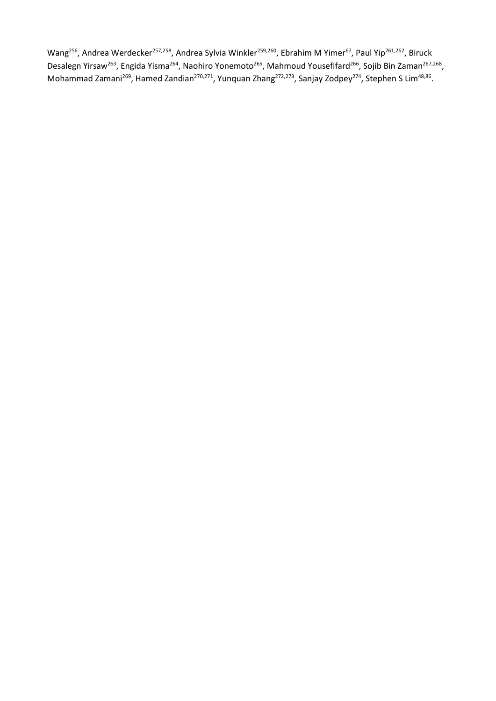Wang<sup>256</sup>, Andrea Werdecker<sup>257,258</sup>, Andrea Sylvia Winkler<sup>259,260</sup>, Ebrahim M Yimer<sup>67</sup>, Paul Yip<sup>261,262</sup>, Biruck Desalegn Yirsaw<sup>263</sup>, Engida Yisma<sup>264</sup>, Naohiro Yonemoto<sup>265</sup>, Mahmoud Yousefifard<sup>266</sup>, Sojib Bin Zaman<sup>267,268</sup>, Mohammad Zamani<sup>269</sup>, Hamed Zandian<sup>270,271</sup>, Yunquan Zhang<sup>272,273</sup>, Sanjay Zodpey<sup>274</sup>, Stephen S Lim<sup>48,86</sup>.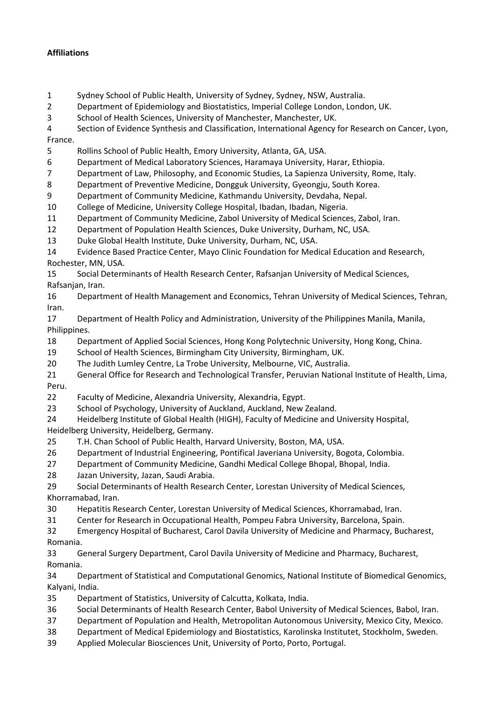## **Affiliations**

- Sydney School of Public Health, University of Sydney, Sydney, NSW, Australia.
- Department of Epidemiology and Biostatistics, Imperial College London, London, UK.
- School of Health Sciences, University of Manchester, Manchester, UK.
- Section of Evidence Synthesis and Classification, International Agency for Research on Cancer, Lyon,

France.

- Rollins School of Public Health, Emory University, Atlanta, GA, USA.
- Department of Medical Laboratory Sciences, Haramaya University, Harar, Ethiopia.
- Department of Law, Philosophy, and Economic Studies, La Sapienza University, Rome, Italy.

Department of Preventive Medicine, Dongguk University, Gyeongju, South Korea.

- Department of Community Medicine, Kathmandu University, Devdaha, Nepal.
- College of Medicine, University College Hospital, Ibadan, Ibadan, Nigeria.
- Department of Community Medicine, Zabol University of Medical Sciences, Zabol, Iran.
- Department of Population Health Sciences, Duke University, Durham, NC, USA.
- Duke Global Health Institute, Duke University, Durham, NC, USA.
- Evidence Based Practice Center, Mayo Clinic Foundation for Medical Education and Research, Rochester, MN, USA.

 Social Determinants of Health Research Center, Rafsanjan University of Medical Sciences, Rafsanjan, Iran.

 Department of Health Management and Economics, Tehran University of Medical Sciences, Tehran, Iran.

 Department of Health Policy and Administration, University of the Philippines Manila, Manila, Philippines.

- Department of Applied Social Sciences, Hong Kong Polytechnic University, Hong Kong, China.
- School of Health Sciences, Birmingham City University, Birmingham, UK.
- The Judith Lumley Centre, La Trobe University, Melbourne, VIC, Australia.

 General Office for Research and Technological Transfer, Peruvian National Institute of Health, Lima, Peru.

- Faculty of Medicine, Alexandria University, Alexandria, Egypt.
- School of Psychology, University of Auckland, Auckland, New Zealand.
- Heidelberg Institute of Global Health (HIGH), Faculty of Medicine and University Hospital, Heidelberg University, Heidelberg, Germany.
- T.H. Chan School of Public Health, Harvard University, Boston, MA, USA.
- Department of Industrial Engineering, Pontifical Javeriana University, Bogota, Colombia.
- Department of Community Medicine, Gandhi Medical College Bhopal, Bhopal, India.
- Jazan University, Jazan, Saudi Arabia.
- Social Determinants of Health Research Center, Lorestan University of Medical Sciences, Khorramabad, Iran.
- Hepatitis Research Center, Lorestan University of Medical Sciences, Khorramabad, Iran.
- Center for Research in Occupational Health, Pompeu Fabra University, Barcelona, Spain.

 Emergency Hospital of Bucharest, Carol Davila University of Medicine and Pharmacy, Bucharest, Romania.

 General Surgery Department, Carol Davila University of Medicine and Pharmacy, Bucharest, Romania.

 Department of Statistical and Computational Genomics, National Institute of Biomedical Genomics, Kalyani, India.

- Department of Statistics, University of Calcutta, Kolkata, India.
- Social Determinants of Health Research Center, Babol University of Medical Sciences, Babol, Iran.
- Department of Population and Health, Metropolitan Autonomous University, Mexico City, Mexico.
- Department of Medical Epidemiology and Biostatistics, Karolinska Institutet, Stockholm, Sweden.
- Applied Molecular Biosciences Unit, University of Porto, Porto, Portugal.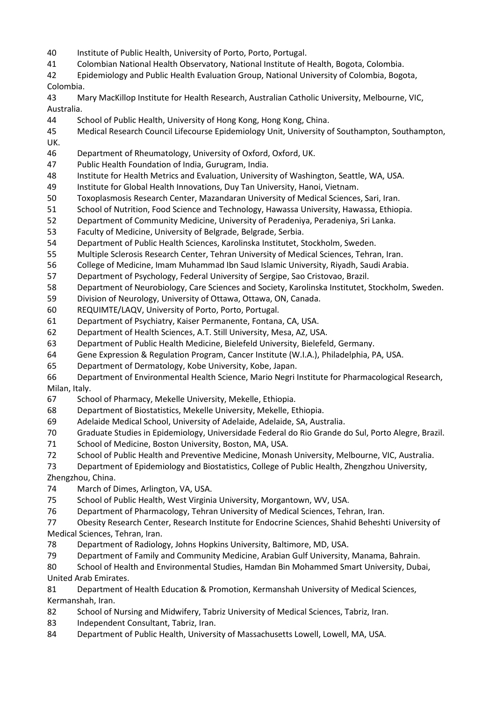- Institute of Public Health, University of Porto, Porto, Portugal.
- Colombian National Health Observatory, National Institute of Health, Bogota, Colombia.
- Epidemiology and Public Health Evaluation Group, National University of Colombia, Bogota, Colombia.
- Mary MacKillop Institute for Health Research, Australian Catholic University, Melbourne, VIC, Australia.
- School of Public Health, University of Hong Kong, Hong Kong, China.
- Medical Research Council Lifecourse Epidemiology Unit, University of Southampton, Southampton, UK.
- Department of Rheumatology, University of Oxford, Oxford, UK.
- Public Health Foundation of India, Gurugram, India.
- Institute for Health Metrics and Evaluation, University of Washington, Seattle, WA, USA.
- Institute for Global Health Innovations, Duy Tan University, Hanoi, Vietnam.
- Toxoplasmosis Research Center, Mazandaran University of Medical Sciences, Sari, Iran.
- School of Nutrition, Food Science and Technology, Hawassa University, Hawassa, Ethiopia.
- Department of Community Medicine, University of Peradeniya, Peradeniya, Sri Lanka.
- Faculty of Medicine, University of Belgrade, Belgrade, Serbia.
- Department of Public Health Sciences, Karolinska Institutet, Stockholm, Sweden.
- Multiple Sclerosis Research Center, Tehran University of Medical Sciences, Tehran, Iran.
- College of Medicine, Imam Muhammad Ibn Saud Islamic University, Riyadh, Saudi Arabia.
- Department of Psychology, Federal University of Sergipe, Sao Cristovao, Brazil.
- Department of Neurobiology, Care Sciences and Society, Karolinska Institutet, Stockholm, Sweden.
- Division of Neurology, University of Ottawa, Ottawa, ON, Canada.
- REQUIMTE/LAQV, University of Porto, Porto, Portugal.
- Department of Psychiatry, Kaiser Permanente, Fontana, CA, USA.
- Department of Health Sciences, A.T. Still University, Mesa, AZ, USA.
- Department of Public Health Medicine, Bielefeld University, Bielefeld, Germany.
- Gene Expression & Regulation Program, Cancer Institute (W.I.A.), Philadelphia, PA, USA.
- Department of Dermatology, Kobe University, Kobe, Japan.
- Department of Environmental Health Science, Mario Negri Institute for Pharmacological Research, Milan, Italy.
- School of Pharmacy, Mekelle University, Mekelle, Ethiopia.
- Department of Biostatistics, Mekelle University, Mekelle, Ethiopia.
- Adelaide Medical School, University of Adelaide, Adelaide, SA, Australia.
- Graduate Studies in Epidemiology, Universidade Federal do Rio Grande do Sul, Porto Alegre, Brazil.
- School of Medicine, Boston University, Boston, MA, USA.
- School of Public Health and Preventive Medicine, Monash University, Melbourne, VIC, Australia.
- Department of Epidemiology and Biostatistics, College of Public Health, Zhengzhou University,

Zhengzhou, China.

- March of Dimes, Arlington, VA, USA.
- School of Public Health, West Virginia University, Morgantown, WV, USA.
- Department of Pharmacology, Tehran University of Medical Sciences, Tehran, Iran.
- Obesity Research Center, Research Institute for Endocrine Sciences, Shahid Beheshti University of Medical Sciences, Tehran, Iran.
- Department of Radiology, Johns Hopkins University, Baltimore, MD, USA.
- Department of Family and Community Medicine, Arabian Gulf University, Manama, Bahrain.
- School of Health and Environmental Studies, Hamdan Bin Mohammed Smart University, Dubai, United Arab Emirates.
- Department of Health Education & Promotion, Kermanshah University of Medical Sciences, Kermanshah, Iran.
- School of Nursing and Midwifery, Tabriz University of Medical Sciences, Tabriz, Iran.
- Independent Consultant, Tabriz, Iran.
- Department of Public Health, University of Massachusetts Lowell, Lowell, MA, USA.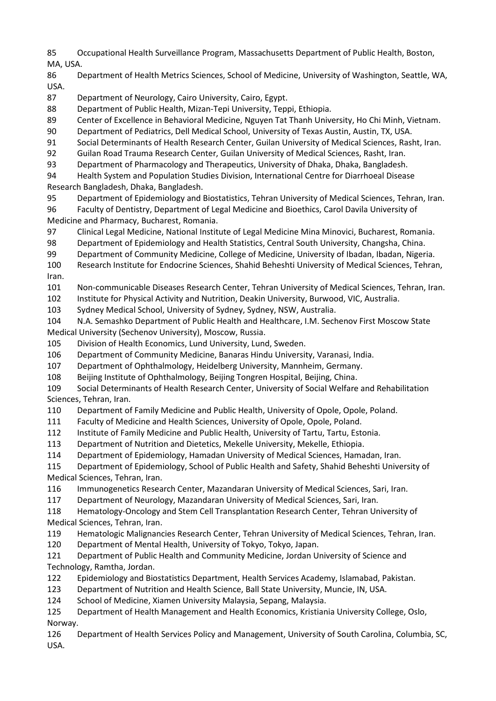Occupational Health Surveillance Program, Massachusetts Department of Public Health, Boston, MA, USA.

 Department of Health Metrics Sciences, School of Medicine, University of Washington, Seattle, WA, USA.

Department of Neurology, Cairo University, Cairo, Egypt.

Department of Public Health, Mizan-Tepi University, Teppi, Ethiopia.

Center of Excellence in Behavioral Medicine, Nguyen Tat Thanh University, Ho Chi Minh, Vietnam.

Department of Pediatrics, Dell Medical School, University of Texas Austin, Austin, TX, USA.

Social Determinants of Health Research Center, Guilan University of Medical Sciences, Rasht, Iran.

Guilan Road Trauma Research Center, Guilan University of Medical Sciences, Rasht, Iran.

Department of Pharmacology and Therapeutics, University of Dhaka, Dhaka, Bangladesh.

 Health System and Population Studies Division, International Centre for Diarrhoeal Disease Research Bangladesh, Dhaka, Bangladesh.

Department of Epidemiology and Biostatistics, Tehran University of Medical Sciences, Tehran, Iran.

 Faculty of Dentistry, Department of Legal Medicine and Bioethics, Carol Davila University of Medicine and Pharmacy, Bucharest, Romania.

Clinical Legal Medicine, National Institute of Legal Medicine Mina Minovici, Bucharest, Romania.

Department of Epidemiology and Health Statistics, Central South University, Changsha, China.

Department of Community Medicine, College of Medicine, University of Ibadan, Ibadan, Nigeria.

 Research Institute for Endocrine Sciences, Shahid Beheshti University of Medical Sciences, Tehran, Iran.

Non-communicable Diseases Research Center, Tehran University of Medical Sciences, Tehran, Iran.

Institute for Physical Activity and Nutrition, Deakin University, Burwood, VIC, Australia.

Sydney Medical School, University of Sydney, Sydney, NSW, Australia.

 N.A. Semashko Department of Public Health and Healthcare, I.M. Sechenov First Moscow State Medical University (Sechenov University), Moscow, Russia.

Division of Health Economics, Lund University, Lund, Sweden.

Department of Community Medicine, Banaras Hindu University, Varanasi, India.

Department of Ophthalmology, Heidelberg University, Mannheim, Germany.

Beijing Institute of Ophthalmology, Beijing Tongren Hospital, Beijing, China.

 Social Determinants of Health Research Center, University of Social Welfare and Rehabilitation Sciences, Tehran, Iran.

Department of Family Medicine and Public Health, University of Opole, Opole, Poland.

Faculty of Medicine and Health Sciences, University of Opole, Opole, Poland.

Institute of Family Medicine and Public Health, University of Tartu, Tartu, Estonia.

Department of Nutrition and Dietetics, Mekelle University, Mekelle, Ethiopia.

Department of Epidemiology, Hamadan University of Medical Sciences, Hamadan, Iran.

 Department of Epidemiology, School of Public Health and Safety, Shahid Beheshti University of Medical Sciences, Tehran, Iran.

Immunogenetics Research Center, Mazandaran University of Medical Sciences, Sari, Iran.

Department of Neurology, Mazandaran University of Medical Sciences, Sari, Iran.

 Hematology-Oncology and Stem Cell Transplantation Research Center, Tehran University of Medical Sciences, Tehran, Iran.

Hematologic Malignancies Research Center, Tehran University of Medical Sciences, Tehran, Iran.

Department of Mental Health, University of Tokyo, Tokyo, Japan.

 Department of Public Health and Community Medicine, Jordan University of Science and Technology, Ramtha, Jordan.

Epidemiology and Biostatistics Department, Health Services Academy, Islamabad, Pakistan.

Department of Nutrition and Health Science, Ball State University, Muncie, IN, USA.

School of Medicine, Xiamen University Malaysia, Sepang, Malaysia.

Department of Health Management and Health Economics, Kristiania University College, Oslo,

Norway.

 Department of Health Services Policy and Management, University of South Carolina, Columbia, SC, USA.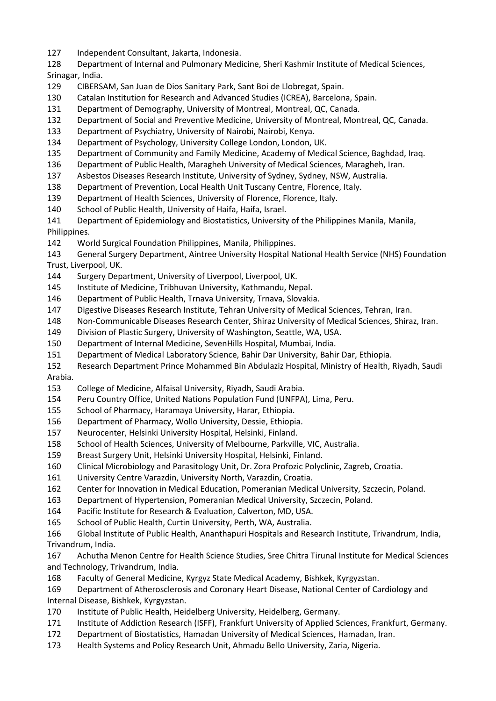Independent Consultant, Jakarta, Indonesia.

 Department of Internal and Pulmonary Medicine, Sheri Kashmir Institute of Medical Sciences, Srinagar, India.

- CIBERSAM, San Juan de Dios Sanitary Park, Sant Boi de Llobregat, Spain.
- Catalan Institution for Research and Advanced Studies (ICREA), Barcelona, Spain.
- Department of Demography, University of Montreal, Montreal, QC, Canada.
- Department of Social and Preventive Medicine, University of Montreal, Montreal, QC, Canada.
- Department of Psychiatry, University of Nairobi, Nairobi, Kenya.
- Department of Psychology, University College London, London, UK.
- Department of Community and Family Medicine, Academy of Medical Science, Baghdad, Iraq.
- Department of Public Health, Maragheh University of Medical Sciences, Maragheh, Iran.
- Asbestos Diseases Research Institute, University of Sydney, Sydney, NSW, Australia.
- Department of Prevention, Local Health Unit Tuscany Centre, Florence, Italy.
- Department of Health Sciences, University of Florence, Florence, Italy.
- School of Public Health, University of Haifa, Haifa, Israel.
- Department of Epidemiology and Biostatistics, University of the Philippines Manila, Manila, Philippines.
- World Surgical Foundation Philippines, Manila, Philippines.
- General Surgery Department, Aintree University Hospital National Health Service (NHS) Foundation Trust, Liverpool, UK.
- Surgery Department, University of Liverpool, Liverpool, UK.
- Institute of Medicine, Tribhuvan University, Kathmandu, Nepal.
- Department of Public Health, Trnava University, Trnava, Slovakia.
- Digestive Diseases Research Institute, Tehran University of Medical Sciences, Tehran, Iran.
- Non-Communicable Diseases Research Center, Shiraz University of Medical Sciences, Shiraz, Iran.
- Division of Plastic Surgery, University of Washington, Seattle, WA, USA.
- Department of Internal Medicine, SevenHills Hospital, Mumbai, India.
- Department of Medical Laboratory Science, Bahir Dar University, Bahir Dar, Ethiopia.
- Research Department Prince Mohammed Bin Abdulaziz Hospital, Ministry of Health, Riyadh, Saudi Arabia.
- 
- College of Medicine, Alfaisal University, Riyadh, Saudi Arabia.
- Peru Country Office, United Nations Population Fund (UNFPA), Lima, Peru.
- School of Pharmacy, Haramaya University, Harar, Ethiopia.
- Department of Pharmacy, Wollo University, Dessie, Ethiopia.
- Neurocenter, Helsinki University Hospital, Helsinki, Finland.
- School of Health Sciences, University of Melbourne, Parkville, VIC, Australia.
- Breast Surgery Unit, Helsinki University Hospital, Helsinki, Finland.
- Clinical Microbiology and Parasitology Unit, Dr. Zora Profozic Polyclinic, Zagreb, Croatia.
- University Centre Varazdin, University North, Varazdin, Croatia.
- Center for Innovation in Medical Education, Pomeranian Medical University, Szczecin, Poland.
- Department of Hypertension, Pomeranian Medical University, Szczecin, Poland.
- Pacific Institute for Research & Evaluation, Calverton, MD, USA.
- School of Public Health, Curtin University, Perth, WA, Australia.
- Global Institute of Public Health, Ananthapuri Hospitals and Research Institute, Trivandrum, India, Trivandrum, India.
- Achutha Menon Centre for Health Science Studies, Sree Chitra Tirunal Institute for Medical Sciences and Technology, Trivandrum, India.
- Faculty of General Medicine, Kyrgyz State Medical Academy, Bishkek, Kyrgyzstan.
- Department of Atherosclerosis and Coronary Heart Disease, National Center of Cardiology and Internal Disease, Bishkek, Kyrgyzstan.
- Institute of Public Health, Heidelberg University, Heidelberg, Germany.
- Institute of Addiction Research (ISFF), Frankfurt University of Applied Sciences, Frankfurt, Germany.
- Department of Biostatistics, Hamadan University of Medical Sciences, Hamadan, Iran.
- Health Systems and Policy Research Unit, Ahmadu Bello University, Zaria, Nigeria.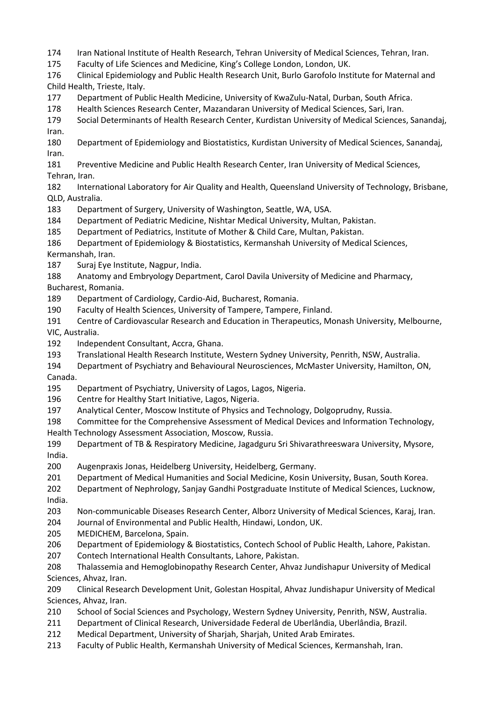Iran National Institute of Health Research, Tehran University of Medical Sciences, Tehran, Iran.

Faculty of Life Sciences and Medicine, King's College London, London, UK.

 Clinical Epidemiology and Public Health Research Unit, Burlo Garofolo Institute for Maternal and Child Health, Trieste, Italy.

Department of Public Health Medicine, University of KwaZulu-Natal, Durban, South Africa.

Health Sciences Research Center, Mazandaran University of Medical Sciences, Sari, Iran.

 Social Determinants of Health Research Center, Kurdistan University of Medical Sciences, Sanandaj, Iran.

 Department of Epidemiology and Biostatistics, Kurdistan University of Medical Sciences, Sanandaj, Iran.

 Preventive Medicine and Public Health Research Center, Iran University of Medical Sciences, Tehran, Iran.

 International Laboratory for Air Quality and Health, Queensland University of Technology, Brisbane, QLD, Australia.

Department of Surgery, University of Washington, Seattle, WA, USA.

Department of Pediatric Medicine, Nishtar Medical University, Multan, Pakistan.

Department of Pediatrics, Institute of Mother & Child Care, Multan, Pakistan.

 Department of Epidemiology & Biostatistics, Kermanshah University of Medical Sciences, Kermanshah, Iran.

Suraj Eye Institute, Nagpur, India.

Anatomy and Embryology Department, Carol Davila University of Medicine and Pharmacy,

Bucharest, Romania.

Department of Cardiology, Cardio-Aid, Bucharest, Romania.

Faculty of Health Sciences, University of Tampere, Tampere, Finland.

 Centre of Cardiovascular Research and Education in Therapeutics, Monash University, Melbourne, VIC, Australia.

- Independent Consultant, Accra, Ghana.
- Translational Health Research Institute, Western Sydney University, Penrith, NSW, Australia.
- Department of Psychiatry and Behavioural Neurosciences, McMaster University, Hamilton, ON, Canada.

Department of Psychiatry, University of Lagos, Lagos, Nigeria.

- Centre for Healthy Start Initiative, Lagos, Nigeria.
- Analytical Center, Moscow Institute of Physics and Technology, Dolgoprudny, Russia.

 Committee for the Comprehensive Assessment of Medical Devices and Information Technology, Health Technology Assessment Association, Moscow, Russia.

 Department of TB & Respiratory Medicine, Jagadguru Sri Shivarathreeswara University, Mysore, India.

Augenpraxis Jonas, Heidelberg University, Heidelberg, Germany.

Department of Medical Humanities and Social Medicine, Kosin University, Busan, South Korea.

 Department of Nephrology, Sanjay Gandhi Postgraduate Institute of Medical Sciences, Lucknow, India.

Non-communicable Diseases Research Center, Alborz University of Medical Sciences, Karaj, Iran.

Journal of Environmental and Public Health, Hindawi, London, UK.

MEDICHEM, Barcelona, Spain.

Department of Epidemiology & Biostatistics, Contech School of Public Health, Lahore, Pakistan.

Contech International Health Consultants, Lahore, Pakistan.

 Thalassemia and Hemoglobinopathy Research Center, Ahvaz Jundishapur University of Medical Sciences, Ahvaz, Iran.

 Clinical Research Development Unit, Golestan Hospital, Ahvaz Jundishapur University of Medical Sciences, Ahvaz, Iran.

School of Social Sciences and Psychology, Western Sydney University, Penrith, NSW, Australia.

Department of Clinical Research, Universidade Federal de Uberlândia, Uberlândia, Brazil.

Medical Department, University of Sharjah, Sharjah, United Arab Emirates.

Faculty of Public Health, Kermanshah University of Medical Sciences, Kermanshah, Iran.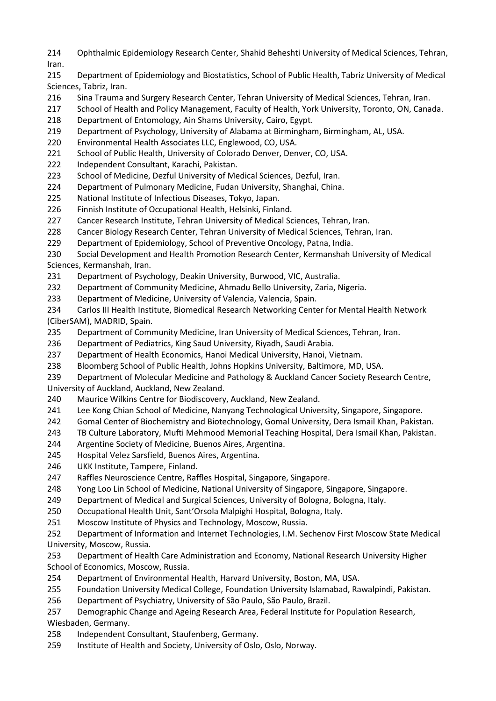- Ophthalmic Epidemiology Research Center, Shahid Beheshti University of Medical Sciences, Tehran, Iran.
- Department of Epidemiology and Biostatistics, School of Public Health, Tabriz University of Medical Sciences, Tabriz, Iran.
- Sina Trauma and Surgery Research Center, Tehran University of Medical Sciences, Tehran, Iran.
- School of Health and Policy Management, Faculty of Health, York University, Toronto, ON, Canada.
- Department of Entomology, Ain Shams University, Cairo, Egypt.
- Department of Psychology, University of Alabama at Birmingham, Birmingham, AL, USA.
- Environmental Health Associates LLC, Englewood, CO, USA.
- School of Public Health, University of Colorado Denver, Denver, CO, USA.
- Independent Consultant, Karachi, Pakistan.
- 223 School of Medicine, Dezful University of Medical Sciences, Dezful, Iran.
- Department of Pulmonary Medicine, Fudan University, Shanghai, China.
- National Institute of Infectious Diseases, Tokyo, Japan.
- Finnish Institute of Occupational Health, Helsinki, Finland.
- Cancer Research Institute, Tehran University of Medical Sciences, Tehran, Iran.
- Cancer Biology Research Center, Tehran University of Medical Sciences, Tehran, Iran.
- Department of Epidemiology, School of Preventive Oncology, Patna, India.
- Social Development and Health Promotion Research Center, Kermanshah University of Medical Sciences, Kermanshah, Iran.
- Department of Psychology, Deakin University, Burwood, VIC, Australia.
- Department of Community Medicine, Ahmadu Bello University, Zaria, Nigeria.
- Department of Medicine, University of Valencia, Valencia, Spain.
- Carlos III Health Institute, Biomedical Research Networking Center for Mental Health Network (CiberSAM), MADRID, Spain.
- Department of Community Medicine, Iran University of Medical Sciences, Tehran, Iran.
- Department of Pediatrics, King Saud University, Riyadh, Saudi Arabia.
- Department of Health Economics, Hanoi Medical University, Hanoi, Vietnam.
- Bloomberg School of Public Health, Johns Hopkins University, Baltimore, MD, USA.
- Department of Molecular Medicine and Pathology & Auckland Cancer Society Research Centre, University of Auckland, Auckland, New Zealand.
- Maurice Wilkins Centre for Biodiscovery, Auckland, New Zealand.
- Lee Kong Chian School of Medicine, Nanyang Technological University, Singapore, Singapore.
- Gomal Center of Biochemistry and Biotechnology, Gomal University, Dera Ismail Khan, Pakistan.
- TB Culture Laboratory, Mufti Mehmood Memorial Teaching Hospital, Dera Ismail Khan, Pakistan.
- Argentine Society of Medicine, Buenos Aires, Argentina.
- Hospital Velez Sarsfield, Buenos Aires, Argentina.
- UKK Institute, Tampere, Finland.
- Raffles Neuroscience Centre, Raffles Hospital, Singapore, Singapore.
- Yong Loo Lin School of Medicine, National University of Singapore, Singapore, Singapore.
- Department of Medical and Surgical Sciences, University of Bologna, Bologna, Italy.
- Occupational Health Unit, Sant'Orsola Malpighi Hospital, Bologna, Italy.
- Moscow Institute of Physics and Technology, Moscow, Russia.
- Department of Information and Internet Technologies, I.M. Sechenov First Moscow State Medical University, Moscow, Russia.
- Department of Health Care Administration and Economy, National Research University Higher School of Economics, Moscow, Russia.
- Department of Environmental Health, Harvard University, Boston, MA, USA.
- Foundation University Medical College, Foundation University Islamabad, Rawalpindi, Pakistan.
- Department of Psychiatry, University of São Paulo, São Paulo, Brazil.
- Demographic Change and Ageing Research Area, Federal Institute for Population Research,

Wiesbaden, Germany.

- Independent Consultant, Staufenberg, Germany.
- Institute of Health and Society, University of Oslo, Oslo, Norway.